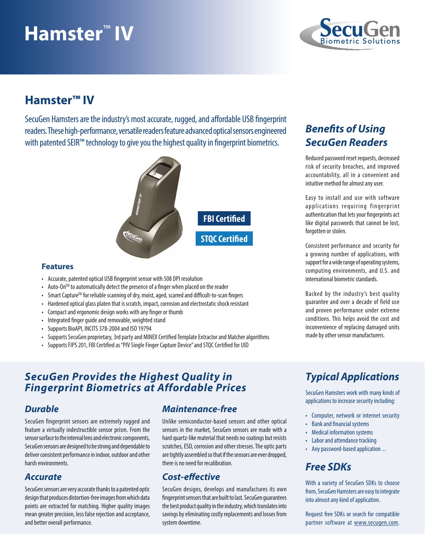# **Hamster**™ **IV**



# **Hamster™ IV**

SecuGen Hamsters are the industry's most accurate, rugged, and affordable USB fingerprint readers. These high-performance, versatile readers feature advanced optical sensors engineered with patented SEIR<sup>™</sup> technology to give you the highest quality in fingerprint biometrics.



### **Features**

- Accurate, patented optical USB fingerprint sensor with 508 DPI resolution
- Auto-On<sup>™</sup> to automatically detect the presence of a finger when placed on the reader
- Smart Capture<sup>™</sup> for reliable scanning of dry, moist, aged, scarred and difficult-to-scan fingers
- Hardened optical glass platen that is scratch, impact, corrosion and electrostatic shock resistant
- Compact and ergonomic design works with any finger or thumb
- Integrated finger guide and removable, weighted stand
- Supports BioAPI, INCITS 378-2004 and ISO 19794
- Supports SecuGen proprietary, 3rd party and MINEX Certified Template Extractor and Matcher algorithms
- Supports FIPS 201, FBI Certified as "PIV Single Finger Capture Device" and STQC Certified for UID

# *Benefits of Using SecuGen Readers*

Reduced password reset requests, decreased risk of security breaches, and improved accountability, all in a convenient and intuitive method for almost any user.

Easy to install and use with software applications requiring fingerprint authentication that lets your fingerprints act like digital passwords that cannot be lost, forgotten or stolen.

Consistent performance and security for a growing number of applications, with support for a wide range of operating systems, computing environments, and U.S. and international biometric standards.

Backed by the industry's best quality guarantee and over a decade of field use and proven performance under extreme conditions. This helps avoid the cost and inconvenience of replacing damaged units made by other sensor manufacturers.

# *SecuGen Provides the Highest Quality in Fingerprint Biometrics at Affordable Prices*

### *Durable*

SecuGen fingerprint sensors are extremely rugged and feature a virtually indestructible sensor prism. From the sensor surface to the internal lens and electronic components, SecuGen sensors are designed to be strong and dependable to deliver consistent performance in indoor, outdoor and other harsh environments.

### *Accurate*

SecuGen sensors are very accurate thanks to a patented optic design that produces distortion-free images from which data points are extracted for matching. Higher quality images mean greater precision, less false rejection and acceptance, and better overall performance.

## *Maintenance-free*

Unlike semiconductor-based sensors and other optical sensors in the market, SecuGen sensors are made with a hard quartz-like material that needs no coatings but resists scratches, ESD, corrosion and other stresses. The optic parts are tightly assembled so that if the sensors are ever dropped, there is no need for recalibration.

### *Cost-effective*

SecuGen designs, develops and manufactures its own fingerprint sensors that are built to last. SecuGen guarantees the best product quality in the industry, which translates into savings by eliminating costly replacements and losses from system downtime.

# *Typical Applications*

SecuGen Hamsters work with many kinds of applications to increase security including:

- Computer, network or internet security
- Bank and financial systems
- Medical information systems
- Labor and attendance tracking
- Any password-based application ...

# *Free SDKs*

With a variety of SecuGen SDKs to choose from, SecuGen Hamsters are easy to integrate into almost any kind of application.

Request free SDKs or search for compatible partner software at www.secugen.com.